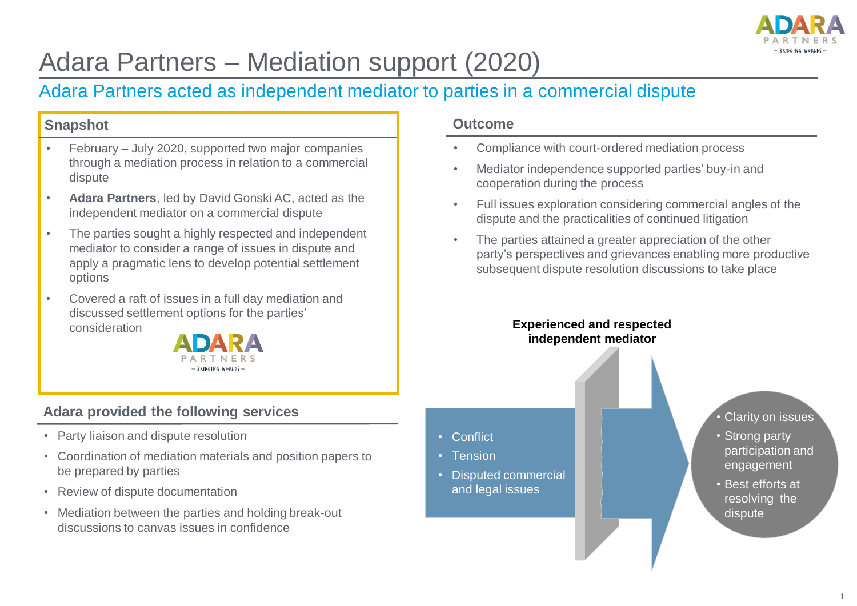

# Adara Partners – Mediation support (2020)

## Adara Partners acted as independent mediator to parties in a commercial dispute

### **Snapshot**

- February July 2020, supported two major companies through a mediation process in relation to a commercial dispute
- **Adara Partners**, led by David Gonski AC, acted as the independent mediator on a commercial dispute
- The parties sought a highly respected and independent mediator to consider a range of issues in dispute and apply a pragmatic lens to develop potential settlement options
- Covered a raft of issues in a full day mediation and discussed settlement options for the parties' consideration



## **Adara provided the following services**

- Party liaison and dispute resolution
- Coordination of mediation materials and position papers to be prepared by parties
- Review of dispute documentation
- Mediation between the parties and holding break-out discussions to canvas issues in confidence

### **Outcome**

- Compliance with court-ordered mediation process
- Mediator independence supported parties' buy-in and cooperation during the process
- Full issues exploration considering commercial angles of the dispute and the practicalities of continued litigation
- The parties attained a greater appreciation of the other party's perspectives and grievances enabling more productive subsequent dispute resolution discussions to take place

#### **Experienced and respected independent mediator**

- Conflict
- Tension
- Disputed commercial and legal issues
- Clarity on issues
- Strong party participation and engagement
- Best efforts at resolving the dispute